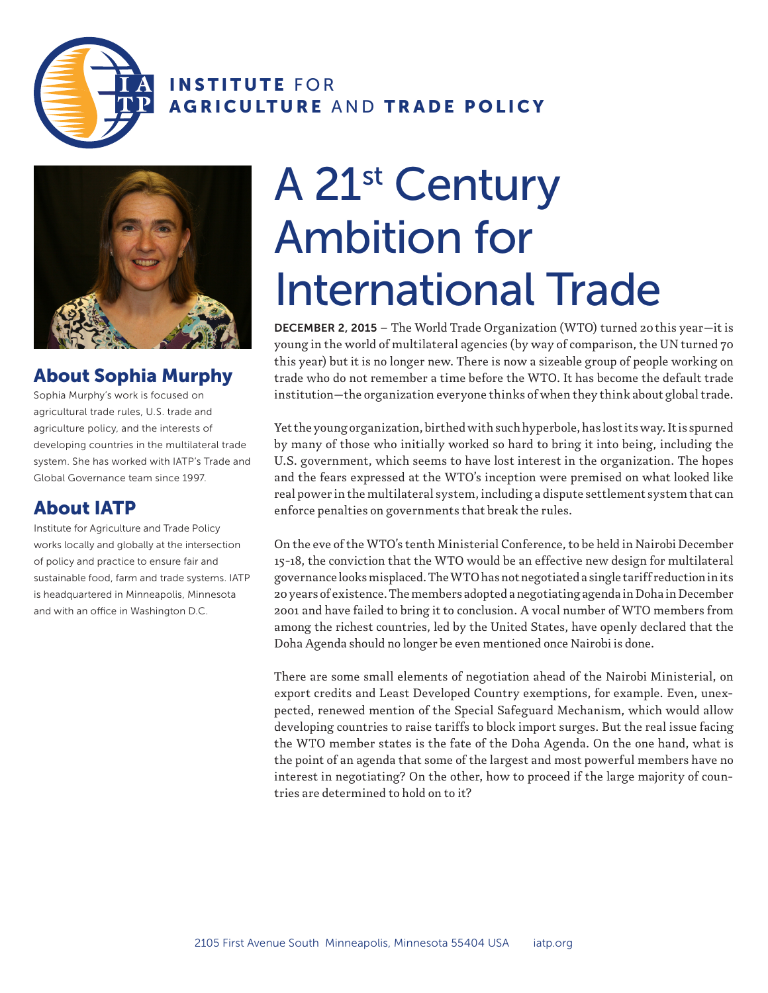

INSTITUTE FOR AGRICULTURE AND TRADE POLICY



## About Sophia Murphy

Sophia Murphy's work is focused on agricultural trade rules, U.S. trade and agriculture policy, and the interests of developing countries in the multilateral trade system. She has worked with IATP's Trade and Global Governance team since 1997.

## About IATP

Institute for Agriculture and Trade Policy works locally and globally at the intersection of policy and practice to ensure fair and sustainable food, farm and trade systems. IATP is headquartered in Minneapolis, Minnesota and with an office in Washington D.C.

## A 21st Century Ambition for International Trade

DECEMBER 2, 2015 – The World Trade Organization (WTO) turned 20this year—it is young in the world of multilateral agencies (by way of comparison, the UN turned 70 this year) but it is no longer new. There is now a sizeable group of people working on trade who do not remember a time before the WTO. It has become the default trade institution—the organization everyone thinks of when they think about global trade.

Yet the young organization, birthed with such hyperbole, has lost its way. It is spurned by many of those who initially worked so hard to bring it into being, including the U.S. government, which seems to have lost interest in the organization. The hopes and the fears expressed at the WTO's inception were premised on what looked like real power in the multilateral system, including a dispute settlement system that can enforce penalties on governments that break the rules.

On the eve of the WTO's tenth Ministerial Conference, to be held in Nairobi December 15-18, the conviction that the WTO would be an effective new design for multilateral governance looks misplaced. The WTO has not negotiated a single tariff reduction in its 20 years of existence. The members adopted a negotiating agenda in Doha in December 2001 and have failed to bring it to conclusion. A vocal number of WTO members from among the richest countries, led by the United States, have openly declared that the Doha Agenda should no longer be even mentioned once Nairobi is done.

There are some small elements of negotiation ahead of the Nairobi Ministerial, on export credits and Least Developed Country exemptions, for example. Even, unexpected, renewed mention of the Special Safeguard Mechanism, which would allow developing countries to raise tariffs to block import surges. But the real issue facing the WTO member states is the fate of the Doha Agenda. On the one hand, what is the point of an agenda that some of the largest and most powerful members have no interest in negotiating? On the other, how to proceed if the large majority of countries are determined to hold on to it?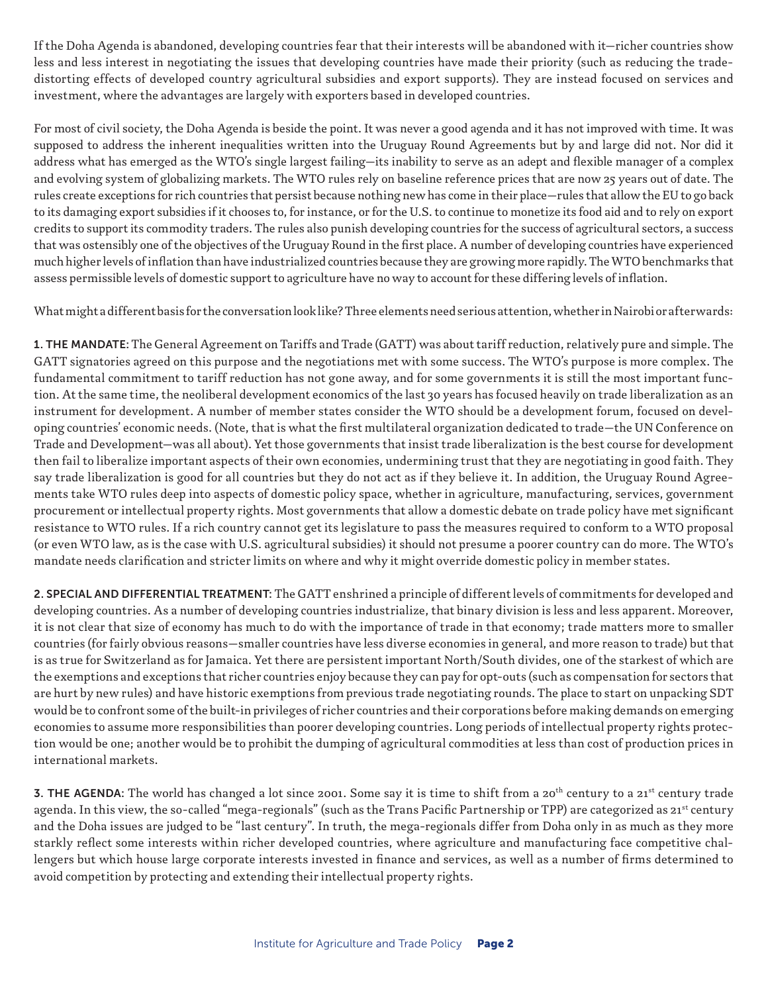If the Doha Agenda is abandoned, developing countries fear that their interests will be abandoned with it—richer countries show less and less interest in negotiating the issues that developing countries have made their priority (such as reducing the tradedistorting effects of developed country agricultural subsidies and export supports). They are instead focused on services and investment, where the advantages are largely with exporters based in developed countries.

For most of civil society, the Doha Agenda is beside the point. It was never a good agenda and it has not improved with time. It was supposed to address the inherent inequalities written into the Uruguay Round Agreements but by and large did not. Nor did it address what has emerged as the WTO's single largest failing—its inability to serve as an adept and flexible manager of a complex and evolving system of globalizing markets. The WTO rules rely on baseline reference prices that are now 25 years out of date. The rules create exceptions for rich countries that persist because nothing new has come in their place—rules that allow the EU to go back to its damaging export subsidies if it chooses to, for instance, or for the U.S. to continue to monetize its food aid and to rely on export credits to support its commodity traders. The rules also punish developing countries for the success of agricultural sectors, a success that was ostensibly one of the objectives of the Uruguay Round in the first place. A number of developing countries have experienced much higher levels of inflation than have industrialized countries because they are growing more rapidly. The WTO benchmarks that assess permissible levels of domestic support to agriculture have no way to account for these differing levels of inflation.

What might a different basis for the conversation look like? Three elements need serious attention, whether in Nairobi or afterwards:

1. THE MANDATE: The General Agreement on Tariffs and Trade (GATT) was about tariff reduction, relatively pure and simple. The GATT signatories agreed on this purpose and the negotiations met with some success. The WTO's purpose is more complex. The fundamental commitment to tariff reduction has not gone away, and for some governments it is still the most important function. At the same time, the neoliberal development economics of the last 30 years has focused heavily on trade liberalization as an instrument for development. A number of member states consider the WTO should be a development forum, focused on developing countries' economic needs. (Note, that is what the first multilateral organization dedicated to trade—the UN Conference on Trade and Development—was all about). Yet those governments that insist trade liberalization is the best course for development then fail to liberalize important aspects of their own economies, undermining trust that they are negotiating in good faith. They say trade liberalization is good for all countries but they do not act as if they believe it. In addition, the Uruguay Round Agreements take WTO rules deep into aspects of domestic policy space, whether in agriculture, manufacturing, services, government procurement or intellectual property rights. Most governments that allow a domestic debate on trade policy have met significant resistance to WTO rules. If a rich country cannot get its legislature to pass the measures required to conform to a WTO proposal (or even WTO law, as is the case with U.S. agricultural subsidies) it should not presume a poorer country can do more. The WTO's mandate needs clarification and stricter limits on where and why it might override domestic policy in member states.

2. SPECIAL AND DIFFERENTIAL TREATMENT: The GATT enshrined a principle of different levels of commitments for developed and developing countries. As a number of developing countries industrialize, that binary division is less and less apparent. Moreover, it is not clear that size of economy has much to do with the importance of trade in that economy; trade matters more to smaller countries (for fairly obvious reasons—smaller countries have less diverse economies in general, and more reason to trade) but that is as true for Switzerland as for Jamaica. Yet there are persistent important North/South divides, one of the starkest of which are the exemptions and exceptions that richer countries enjoy because they can pay for opt-outs (such as compensation for sectors that are hurt by new rules) and have historic exemptions from previous trade negotiating rounds. The place to start on unpacking SDT would be to confront some of the built-in privileges of richer countries and their corporations before making demands on emerging economies to assume more responsibilities than poorer developing countries. Long periods of intellectual property rights protection would be one; another would be to prohibit the dumping of agricultural commodities at less than cost of production prices in international markets.

3. THE AGENDA: The world has changed a lot since 2001. Some say it is time to shift from a 20<sup>th</sup> century to a 21<sup>st</sup> century trade agenda. In this view, the so-called "mega-regionals" (such as the Trans Pacific Partnership or TPP) are categorized as 21<sup>st</sup> century and the Doha issues are judged to be "last century". In truth, the mega-regionals differ from Doha only in as much as they more starkly reflect some interests within richer developed countries, where agriculture and manufacturing face competitive challengers but which house large corporate interests invested in finance and services, as well as a number of firms determined to avoid competition by protecting and extending their intellectual property rights.